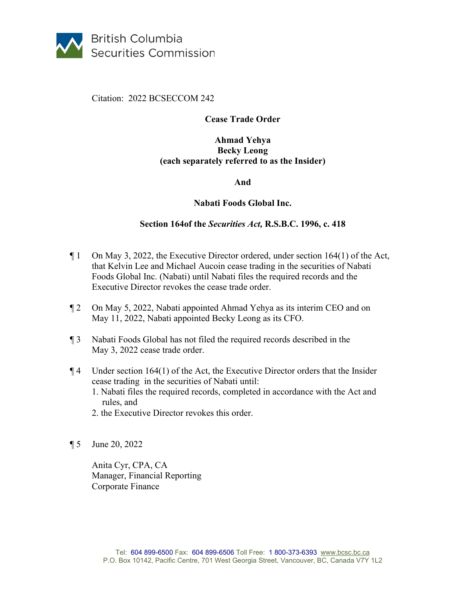

# Citation: 2022 BCSECCOM 242

# **Cease Trade Order**

# **Ahmad Yehya Becky Leong (each separately referred to as the Insider)**

#### **And**

# **Nabati Foods Global Inc.**

# **Section 164of the** *Securities Act,* **R.S.B.C. 1996, c. 418**

- ¶ 1 On May 3, 2022, the Executive Director ordered, under section 164(1) of the Act, that Kelvin Lee and Michael Aucoin cease trading in the securities of Nabati Foods Global Inc. (Nabati) until Nabati files the required records and the Executive Director revokes the cease trade order.
- ¶ 2 On May 5, 2022, Nabati appointed Ahmad Yehya as its interim CEO and on May 11, 2022, Nabati appointed Becky Leong as its CFO.
- ¶ 3 Nabati Foods Global has not filed the required records described in the May 3, 2022 cease trade order.
- $\P$ 4 Under section 164(1) of the Act, the Executive Director orders that the Insider cease trading in the securities of Nabati until: 1. Nabati files the required records, completed in accordance with the Act and rules, and
	- 2. the Executive Director revokes this order.
- ¶ 5 June 20, 2022

Anita Cyr, CPA, CA Manager, Financial Reporting Corporate Finance